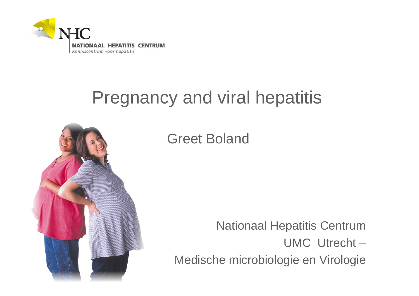

### Pregnancy and viral hepatitis



Greet Boland

Nationaal Hepatitis Centrum UMC Utrecht –Medische microbiologie en Virologie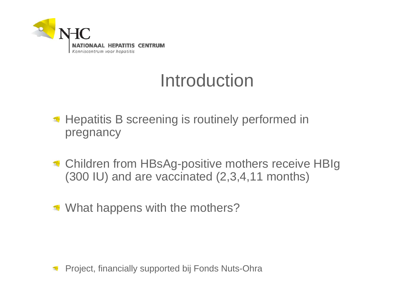

#### Introduction

- **Hepatitis B screening is routinely performed in** pregnancy
- **Children from HBsAg-positive mothers receive HBIg** (300 IU) and are vaccinated (2,3,4,11 months)
- What happens with the mothers?

Project, financially supported bij Fonds Nuts-Ohra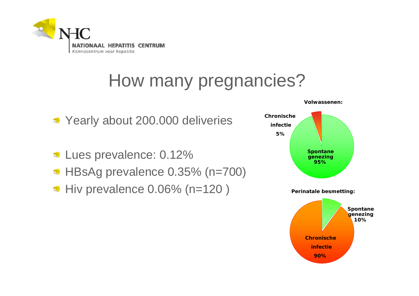

## How many pregnancies?

- Yearly about 200.000 deliveries
- Lues prevalence: 0.12%
- HBsAg prevalence 0.35% (n=700)
- $\blacksquare$  Hiv prevalence 0.06% (n=120) Perinatale besmetting:

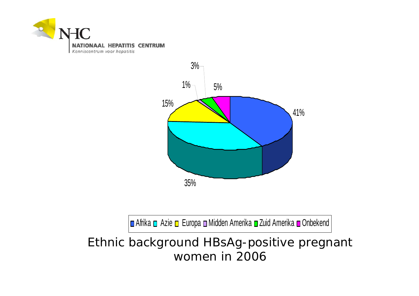



■ Afrika ■ Azie ■ Europa ■ Midden Amerika ■ Zuid Amerika ■ Onbekend

Ethnic background HBsAg-positive pregnant women in 2006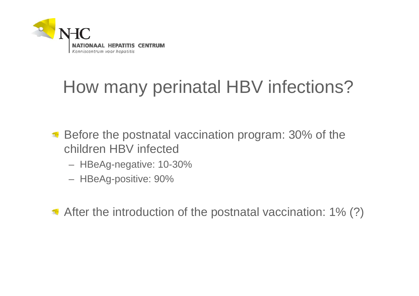

# How many perinatal HBV infections?

- Before the postnatal vaccination program: 30% of the children HBV infected
	- HBeAg-negative: 10-30%
	- HBeAg-positive: 90%

After the introduction of the postnatal vaccination: 1% (?)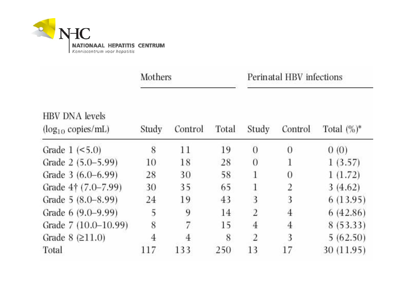

|                                                 | Mothers |         |       | Perinatal HBV infections |                |                |
|-------------------------------------------------|---------|---------|-------|--------------------------|----------------|----------------|
| <b>HBV DNA</b> levels<br>$(log_{10}$ copies/mL) | Study   | Control | Total | Study                    | Control        | Total $(\%)^*$ |
| Grade $1$ (<5.0)                                | 8       | 11      | 19    | $\overline{0}$           | $\theta$       | 0(0)           |
| Grade 2 (5.0–5.99)                              | 10      | 18      | 28    | $\overline{0}$           | 1              | 1(3.57)        |
| Grade 3 (6.0–6.99)                              | 28      | 30      | 58    | 1                        | 0              | 1(1.72)        |
| Grade 4† (7.0–7.99)                             | 30      | 35      | 65    | 1                        | $\overline{a}$ | 3(4.62)        |
| Grade 5 (8.0–8.99)                              | 24      | 19      | 43    | 3                        | $\overline{3}$ | 6(13.95)       |
| Grade 6 (9.0–9.99)                              | 5       | 9       | 14    | $\overline{2}$           | $\overline{4}$ | 6(42.86)       |
| Grade 7 (10.0-10.99)                            | 8       | 7       | 15    | $\overline{4}$           | 4              | 8(53.33)       |
| Grade $8$ ( $\geq$ 11.0)                        | 4       | 4       | 8     | $\overline{2}$           | 3              | 5(62.50)       |
| Total                                           | 117     | 133     | 250   | 13                       | 17             | 30 (11.95)     |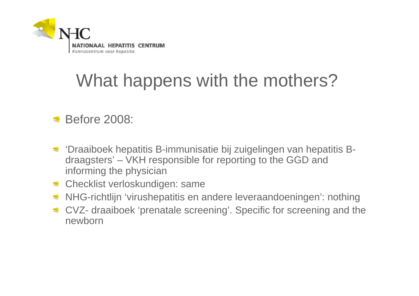

# What happens with the mothers?

- **Before 2008:**
- 'Draaiboek hepatitis B-immunisatie bij zuigelingen van hepatitis B- $\mathcal{D}$ draagsters' – VKH responsible for reporting to the GGD and informing the physician
- **Checklist verloskundigen: same**
- NHG-richtlijn 'virushepatitis en andere leveraandoeningen': nothing
- CVZ- draaiboek 'prenatale screening'. Specific for screening and the newborn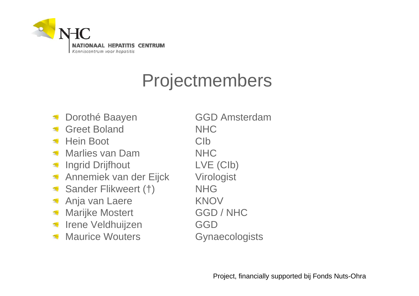

### Projectmembers

- 
- Greet Boland NHC
- Hein Boot CIb
- Marlies van Dam NHC
- Ingrid Drijfhout LVE (CIb)
- Annemiek van der Eijck Virologist  $\mathcal{D}$
- Sander Flikweert (†) NHG  $\mathcal{L}$
- Anja van Laere KNOV
- Marijke Mostert **GGD** / NHC  $\mathcal{R}$
- Irene Veldhuijzen GGD  $\mathcal{D}$
- Maurice Wouters **Gynaecologists**

Dorothé Baayen **GGD** Amsterdam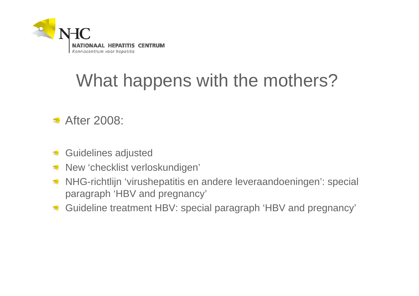

# What happens with the mothers?

- **After 2008:**
- Guidelines adjusted 需
- New 'checklist verloskundigen'  $\mathcal{R}$
- NHG-richtlijn 'virushepatitis en andere leveraandoeningen': special  $\mathcal{D}$ paragraph 'HBV and pregnancy'
- Guideline treatment HBV: special paragraph 'HBV and pregnancy' $\mathcal{L}$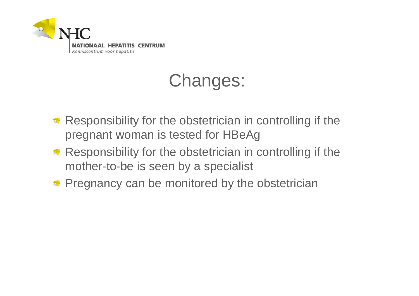

# Changes:

- Responsibility for the obstetrician in controlling if the pregnant woman is tested for HBeAg
- Responsibility for the obstetrician in controlling if the mother-to-be is seen by a specialist
- **Pregnancy can be monitored by the obstetrician**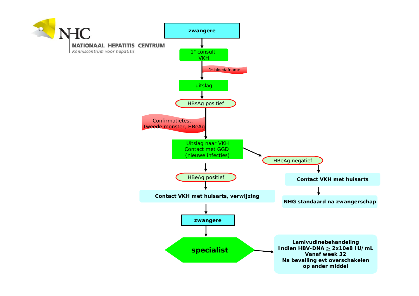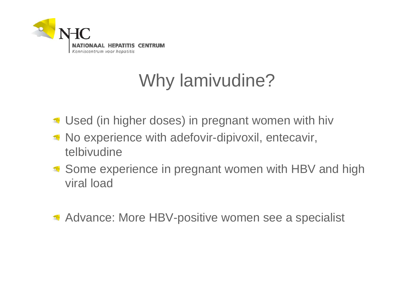

# Why lamivudine?

- Used (in higher doses) in pregnant women with hiv
- No experience with adefovir-dipivoxil, entecavir, telbivudine
- Some experience in pregnant women with HBV and high viral load
- **Advance: More HBV-positive women see a specialist**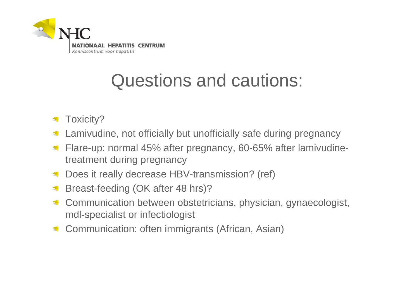

## Questions and cautions:

- Toxicity?
- Lamivudine, not officially but unofficially safe during pregnancy
- Flare-up: normal 45% after pregnancy, 60-65% after lamivudine- $\mathcal{D}$ treatment during pregnancy
- Does it really decrease HBV-transmission? (ref)  $\mathcal{D}$
- Breast-feeding (OK after 48 hrs)?
- Communication between obstetricians, physician, gynaecologist, mdl-specialist or infectiologist
- Communication: often immigrants (African, Asian) $\mathcal{R}$